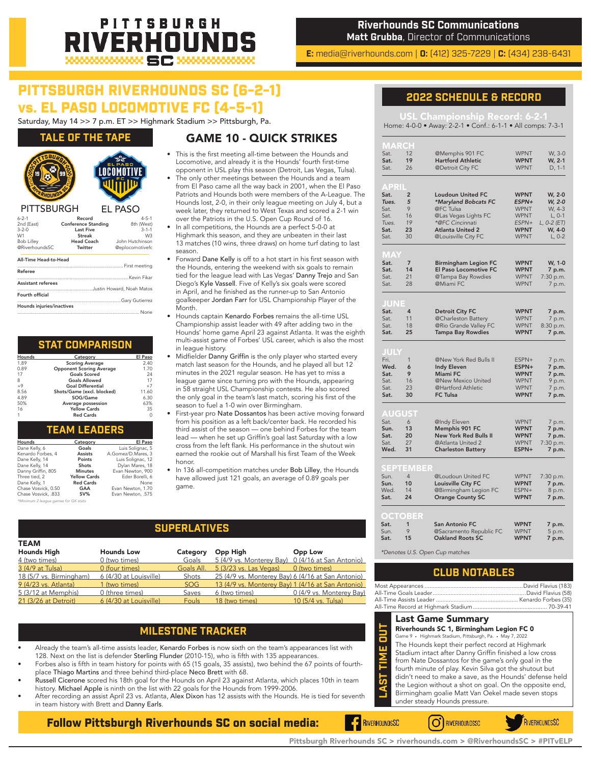## PITTSBURGH VERHOUNI

**Riverhounds SC Communications Matt Grubba**, Director of Communications

**E:** media@riverhounds.com | **O:** (412) 325-7229 | **C:** (434) 238-6431

## PITTSBURGH RIVERHOUNDS SC (6-2-1) vs. EL PASO LOCOMOTIVE FC (4-5-1)

Saturday, May 14 >> 7 p.m. ET >> Highmark Stadium >> Pittsburgh, Pa.

### **TALE OF THE TAPE**



| 2nd (East)                | <b>Conference Standing</b> | 8th (West)                |
|---------------------------|----------------------------|---------------------------|
| $3 - 2 - 0$               | <b>Last Five</b>           | $3 - 1 - 1$               |
| W1                        | <b>Streak</b>              | W3                        |
| <b>Bob Lilley</b>         | <b>Head Coach</b>          | John Hutchinson           |
| @RiverhoundsSC            | Twitter                    | @eplocomotivefc           |
| All-Time Head-to-Head     |                            |                           |
| Referee                   |                            |                           |
|                           |                            |                           |
| <b>Assistant referees</b> |                            |                           |
|                           |                            | Justin Howard, Noah Matos |
| Fourth official           |                            |                           |
|                           |                            |                           |
| Hounds injuries/inactives |                            |                           |

#### ........................................................................................... None

| <b>STAT COMPARISON</b> |  |  |
|------------------------|--|--|
|                        |  |  |

| Hounds | Category                        | El Paso |
|--------|---------------------------------|---------|
| 1.89   | <b>Scoring Average</b>          | 2.40    |
| 0.89   | <b>Opponent Scoring Average</b> | 1.70    |
| 17     | <b>Goals Scored</b>             | 24      |
| 8      | <b>Goals Allowed</b>            | 17      |
| $+9$   | <b>Goal Differential</b>        | $+7$    |
| 8.56   | Shots/Game (excl. blocked)      | 11.60   |
| 4.89   | SOG/Game                        | 6.30    |
| 50%    | Average possession              | 63%     |
| 16     | <b>Yellow Cards</b>             | 35      |
| 1      | <b>Red Cards</b>                | 0       |

| <b>TEAM LEADERS</b> |  |  |  |  |
|---------------------|--|--|--|--|
|                     |  |  |  |  |

| Hounds                               | Category            | El Paso            |  |  |  |
|--------------------------------------|---------------------|--------------------|--|--|--|
| Dane Kelly, 6                        | Goals               | Luis Solianac, 5   |  |  |  |
| Kenardo Forbes, 4                    | <b>Assists</b>      | A.Gomez/D.Mares, 3 |  |  |  |
| Dane Kelly, 14                       | Points              | Luis Solignac, 12  |  |  |  |
| Dane Kelly, 14                       | <b>Shots</b>        | Dylan Mares, 18    |  |  |  |
| Danny Griffin, 805                   | <b>Minutes</b>      | Evan Newton, 900   |  |  |  |
| Three tied, 2                        | <b>Yellow Cards</b> | Eder Borelli, 6    |  |  |  |
| Dane Kelly, 1                        | <b>Red Cards</b>    | None               |  |  |  |
| Chase Vosvick, 0.50                  | GAA                 | Evan Newton, 1,70  |  |  |  |
| Chase Vosvick, .833                  | $SV\%$              | Evan Newton, .575  |  |  |  |
| *Minimum 2 league games for GK stats |                     |                    |  |  |  |

## GAME 10 - QUICK STRIKES

- This is the first meeting all-time between the Hounds and Locomotive, and already it is the Hounds' fourth first-time opponent in USL play this season (Detroit, Las Vegas, Tulsa).
- The only other meetings between the Hounds and a team from El Paso came all the way back in 2001, when the El Paso Patriots and Hounds both were members of the A-League. The Hounds lost, 2-0, in their only league meeting on July 4, but a week later, they returned to West Texas and scored a 2-1 win over the Patriots in the U.S. Open Cup Round of 16.

• In all competitions, the Hounds are a perfect 5-0-0 at Highmark this season, and they are unbeaten in their last 13 matches (10 wins, three draws) on home turf dating to last season.

- Forward Dane Kelly is off to a hot start in his first season with the Hounds, entering the weekend with six goals to remain tied for the league lead with Las Vegas' Danny Trejo and San Diego's Kyle Vassell. Five of Kelly's six goals were scored in April, and he finished as the runner-up to San Antonio goalkeeper Jordan Farr for USL Championship Player of the Month.
- Hounds captain Kenardo Forbes remains the all-time USL Championship assist leader with 49 after adding two in the Hounds' home game April 23 against Atlanta. It was the eighth multi-assist game of Forbes' USL career, which is also the most in league history.
- Midfielder Danny Griffin is the only player who started every match last season for the Hounds, and he played all but 12 minutes in the 2021 regular season. He has yet to miss a league game since turning pro with the Hounds, appearing in 58 straight USL Championship contests. He also scored the only goal in the team's last match, scoring his first of the season to fuel a 1-0 win over Birmingham.
- First-year pro Nate Dossantos has been active moving forward from his position as a left back/center back. He recorded his third assist of the season — one behind Forbes for the team lead — when he set up Griffin's goal last Saturday with a low cross from the left flank. His performance in the shutout win earned the rookie out of Marshall his first Team of the Week honor.
- In 136 all-competition matches under Bob Lilley, the Hounds have allowed just 121 goals, an average of 0.89 goals per game.

### **SUPERLATIVES**

| <b>TEAM</b>             |                        |            |                        |                                                   |                                |
|-------------------------|------------------------|------------|------------------------|---------------------------------------------------|--------------------------------|
| <b>Hounds High</b>      | <b>Hounds Low</b>      | Category   | Opp High               | Opp Low                                           | *Denotes U.S. Open Cup matches |
| 4 (two times)           | 0 (two times)          | Goals      |                        | 5 (4/9 vs. Monterey Bay) 0 (4/16 at San Antonio)  |                                |
| 3 (4/9 at Tulsa)        | 0 (four times)         | Goals All. | 5 (3/23 vs. Las Vegas) | 0 (two times)                                     | <b>CLUB N</b>                  |
| 18 (5/7 vs. Birmingham) | 6 (4/30 at Louisville) | Shots      |                        | 25 (4/9 vs. Monterey Bay) 6 (4/16 at San Antonio) |                                |
| 9 (4/23 vs. Atlanta)    | 1 (two times)          | SOG        |                        | 13 (4/9 vs. Monterey Bay) 1 (4/16 at San Antonio) | Most Appearances               |
| 5 (3/12 at Memphis)     | 0 (three times)        | Saves      | 6 (two times)          | 0 (4/9 vs. Monterey Bay)                          | All-Time Goals Leader          |
| 21 (3/26 at Detroit)    | 6 (4/30 at Louisville) | Fouls      | 18 (two times)         | 10 (5/4 vs. Tulsa)                                | All-Time Assists Leader<br>.   |

## **MILESTONE TRACKER**

- Already the team's all-time assists leader, Kenardo Forbes is now sixth on the team's appearances list with 128. Next on the list is defender Sterling Flunder (2010-15), who is fifth with 135 appearances.
- Forbes also is fifth in team history for points with 65 (15 goals, 35 assists), two behind the 67 points of fourthplace Thiago Martins and three behind third-place Neco Brett with 68.
- Russell Cicerone scored his 18th goal for the Hounds on April 23 against Atlanta, which places 10th in team history. Michael Apple is ninth on the list with 22 goals for the Hounds from 1999-2006.
- After recording an assist April 23 vs. Atlanta, Alex Dixon has 12 assists with the Hounds. He is tied for seventh in team history with Brett and Danny Earls.

Follow Pittsburgh Riverhounds SC on social media:

### **2022 SCHEDULE & RECORD**

USL Championship Record: 6-2-1 Home: 4-0-0 • Away: 2-2-1 • Conf.: 6-1-1 • All comps: 7-3-1

| Sat.         | 15             | <b>Oakland Roots SC</b>      | <b>WPNT</b> | 7 p.m.      |
|--------------|----------------|------------------------------|-------------|-------------|
| Sun.         | 9              | @Sacramento Republic FC      | <b>WPNT</b> | 5 p.m.      |
| Sat.         | $\mathbf{1}$   | <b>San Antonio FC</b>        | <b>WPNT</b> | 7 p.m.      |
| OCTOBER      |                |                              |             |             |
| Sat.         | 24             | <b>Orange County SC</b>      | <b>WPNT</b> | 7 p.m.      |
| Wed.         | 14             | @Birmingham Legion FC        | ESPN+       | 8 p.m.      |
| Sun.         | 10             | Louisville City FC           | <b>WPNT</b> | 7 p.m.      |
| Sun.         | $\overline{4}$ | @Loudoun United FC           | <b>WPNT</b> | 7:30 p.m.   |
| SEPT         | EMBER          |                              |             |             |
|              |                |                              |             |             |
| Wed.         | 31             | <b>Charleston Battery</b>    | ESPN+       | 7 p.m.      |
| Sat.         | 27             | @Atlanta United 2            | <b>WPNT</b> | 7:30 p.m.   |
| Sat.         | 20             | <b>New York Red Bulls II</b> | <b>WPNT</b> | 7 p.m.      |
| Sun.         | 13             | Memphis 901 FC               | <b>WPNT</b> | 7 p.m.      |
| Sat.         | 6              | @Indy Eleven                 | <b>WPNT</b> | 7 p.m.      |
| AUGUST       |                |                              |             |             |
|              |                |                              |             |             |
| Sat.         | 30             | <b>FC Tulsa</b>              | <b>WPNT</b> | 7 p.m.      |
| Sat.         | 23             | @Hartford Athletic           | WPNT        | 7 p.m.      |
| Sat.         | 16             | @New Mexico United           | <b>WPNT</b> | 9 p.m.      |
| Sat.         | 9              | Miami FC                     | WPNT        | 7 p.m.      |
| Wed.         | 6              | Indy Eleven                  | ESPN+       | 7 p.m.      |
| Fri.         | $\mathbf{1}$   | @New York Red Bulls II       | ESPN+       | 7 p.m.      |
| JULY         |                |                              |             |             |
|              |                |                              |             |             |
| Sat.         | 25             | <b>Tampa Bay Rowdies</b>     | <b>WPNT</b> | 7 p.m.      |
| Sat.         | 18             | @Rio Grande Valley FC        | <b>WPNT</b> | 8:30 p.m.   |
| Sat.         | 11             | @Charleston Battery          | <b>WPNT</b> | 7 p.m.      |
| JUNE<br>Sat. | 4              | <b>Detroit City FC</b>       | <b>WPNT</b> | 7 p.m.      |
|              |                |                              |             |             |
| Sat.         | 28             | @Miami FC                    | <b>WPNT</b> | 7 p.m.      |
| Sat.         | 21             | @Tampa Bay Rowdies           | <b>WPNT</b> | 7:30 p.m.   |
| Sat.         | 14             | El Paso Locomotive FC        | <b>WPNT</b> | 7 p.m.      |
| MAY<br>Sat.  | $\overline{7}$ | <b>Birmingham Legion FC</b>  | WPNT        | W, 1-0      |
|              |                |                              |             |             |
| Sat.         | 30             | @Louisville City FC          | <b>WPNT</b> | $L, 0-2$    |
| Sat.         | 23             | <b>Atlanta United 2</b>      | <b>WPNT</b> | W, 4-0      |
| Tues.        | 19             | *@FC Cincinnati              | ESPN+       | L, 0-2 (ET) |
| Sat.         | 16             | @Las Vegas Lights FC         | <b>WPNT</b> | $L, 0-1$    |
| Sat.         | 9              | @FC Tulsa                    | <b>WPNT</b> | W, 4-3      |
| Tues.        | 5              | *Maryland Bobcats FC         | ESPN+       | W, 2-0      |
| APRI<br>Sat. | $\overline{2}$ | <b>Loudoun United FC</b>     | <b>WPNT</b> | W, 2-0      |
|              |                |                              |             |             |
| Sat.         | 26             | @Detroit City FC             | <b>WPNT</b> | D, 1-1      |
| Sat.         | 19             | <b>Hartford Athletic</b>     | WPNT        | W, 2-1      |
| Sat.         | 12             | @Memphis 901 FC              | <b>WPNT</b> | W, 3-0      |

## **CLUB NOTABLES**

Riverhounds SC 1, Birmingham Legion FC 0

Game 9 • Highmark Stadium, Pittsburgh, Pa. • May 7, 2022

The Hounds kept their perfect record at Highmark Stadium intact after Danny Griffin finished a low cross

- 
- from Nate Dossantos for the game's only goal in the fourth minute of play. Kevin Silva got the shutout but Last Game Summary<br>
Riverhounds SC 1, Birminghau<br>
Game 9 . Highmark Stadium, Pittsburgh, F<br>
The Hounds kept their perfect to<br>
Stadium intact after Danny Grif<br>
from Nate Dossantos for the ga<br>
fourth minute of play. Kevin Sil
	- didn't need to make a save, as the Hounds' defense held
	- the Legion without a shot on goal. On the opposite end, Birmingham goalie Matt Van Oekel made seven stops

RIVERHOUNDSSC



O RIVERHOUNDSSC

Pittsburgh Riverhounds SC > riverhounds.com > @RiverhoundsSC > #PITvELP

**F** RIVERHOUNDSSC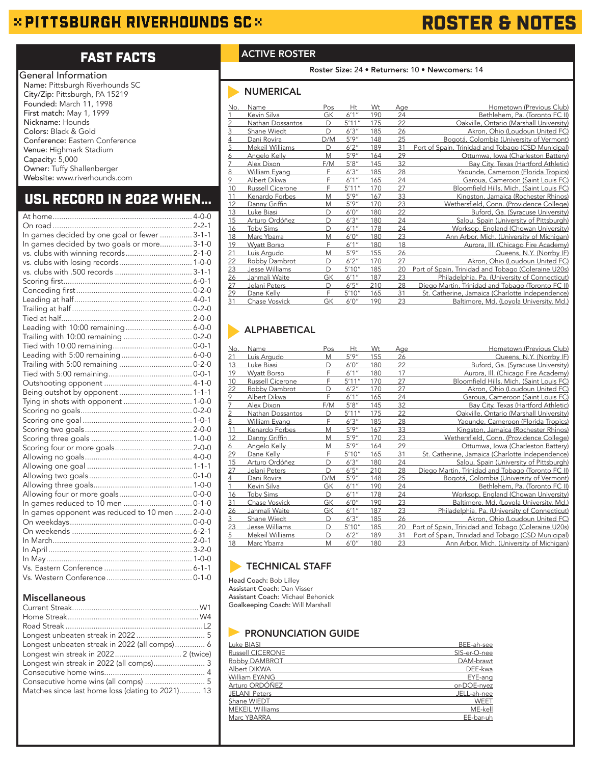## $\approx$  PITTSBURGH RIVERHOUNDS SC $\approx$

# ROSTER & NOTES

## FAST FACTS

| General Information             |
|---------------------------------|
| Name: Pittsburgh Riverhounds SC |
| City/Zip: Pittsburgh, PA 15219  |
| Founded: March 11, 1998         |
| First match: May 1, 1999        |
| Nickname: Hounds                |
| Colors: Black & Gold            |
| Conference: Eastern Conference  |
| Venue: Highmark Stadium         |
| Capacity: 5,000                 |
| Owner: Tuffy Shallenberger      |
| Website: www.riverhounds.com    |
|                                 |

## USL RECORD IN 2022 WHEN...

| In games decided by one goal or fewer  3-1-1   |  |
|------------------------------------------------|--|
| In games decided by two goals or more 3-1-0    |  |
| vs. clubs with winning records 2-1-0           |  |
|                                                |  |
|                                                |  |
|                                                |  |
|                                                |  |
|                                                |  |
|                                                |  |
|                                                |  |
| Leading with 10:00 remaining 6-0-0             |  |
|                                                |  |
|                                                |  |
|                                                |  |
|                                                |  |
|                                                |  |
|                                                |  |
|                                                |  |
|                                                |  |
|                                                |  |
|                                                |  |
|                                                |  |
|                                                |  |
|                                                |  |
|                                                |  |
|                                                |  |
|                                                |  |
|                                                |  |
|                                                |  |
|                                                |  |
| In games opponent was reduced to 10 men  2-0-0 |  |
|                                                |  |
|                                                |  |
|                                                |  |
|                                                |  |
|                                                |  |
|                                                |  |
|                                                |  |
|                                                |  |

### Miscellaneous

| Longest unbeaten streak in 2022 (all comps) 6    |  |
|--------------------------------------------------|--|
|                                                  |  |
| Longest win streak in 2022 (all comps) 3         |  |
|                                                  |  |
|                                                  |  |
| Matches since last home loss (dating to 2021) 13 |  |

## ACTIVE ROSTER

Roster Size: 24 • Returners: 10 • Newcomers: 14

## NUMERICAL

| No. | Name               | Pos | Ht     | Wt  | <u>Age</u> | Hometown (Previous Club)                            |
|-----|--------------------|-----|--------|-----|------------|-----------------------------------------------------|
|     | Kevin Silva        | GK  | 6'1''  | 190 | 24         | Bethlehem, Pa. (Toronto FC II)                      |
| 2   | Nathan Dossantos   | D   | 5'11'' | 175 | 22         | Oakville, Ontario (Marshall University)             |
| 3   | Shane Wiedt        | D   | 6'3''  | 185 | 26         | Akron, Ohio (Loudoun United FC)                     |
| 4   | Dani Rovira        | D/M | 5'9''  | 148 | 25         | Bogotá, Colombia (University of Vermont)            |
| 5   | Mekeil Williams    | D   | 6'2''  | 189 | 31         | Port of Spain, Trinidad and Tobago (CSD Municipal)  |
| 6   | Angelo Kelly       | M   | 5'9''  | 164 | 29         | Ottumwa, Iowa (Charleston Battery)                  |
| 7   | Alex Dixon         | F/M | 5'8''  | 145 | 32         | Bay City, Texas (Hartford Athletic)                 |
| 8   | William Eyang      | F   | 6'3''  | 185 | 28         | Yaounde, Cameroon (Florida Tropics)                 |
| 9   | Albert Dikwa       | F   | 6'1''  | 165 | 24         | Garoua, Cameroon (Saint Louis FC)                   |
| 10  | Russell Cicerone   | F   | 5'11'' | 170 | 27         | Bloomfield Hills, Mich. (Saint Louis FC)            |
| 11  | Kenardo Forbes     | M   | 5'9''  | 167 | 33         | Kingston, Jamaica (Rochester Rhinos)                |
| 12  | Danny Griffin      | M   | 5'9''  | 170 | 23         | Wethersfield, Conn. (Providence College)            |
| 13  | Luke Biasi         | D   | 6'0''  | 180 | 22         | Buford, Ga. (Syracuse University)                   |
| 15  | Arturo Ordóñez     | D   | 6'3''  | 180 | 24         | Salou, Spain (University of Pittsburgh)             |
| 16  | <b>Toby Sims</b>   | D   | 6'1''  | 178 | 24         | Worksop, England (Chowan University)                |
| 18  | Marc Ybarra        | M   | 6'0''  | 180 | 23         | Ann Arbor, Mich. (University of Michigan)           |
| 19  | <b>Wyatt Borso</b> | F   | 6'1''  | 180 | 18         | Aurora, Ill. (Chicago Fire Academy)                 |
| 21  | Luis Arqudo        | M   | 5'9''  | 155 | 26         | Queens, N.Y. (Norrby IF)                            |
| 22  | Robby Dambrot      | D   | 6'2''  | 170 | 27         | Akron, Ohio (Loudoun United FC)                     |
| 23  | Jesse Williams     | D   | 5'10'' | 185 | 20         | Port of Spain, Trinidad and Tobago (Coleraine U20s) |
| 26  | Jahmali Waite      | GK  | 6'1''  | 187 | 23         | Philadelphia, Pa. (University of Connecticut)       |
| 27  | Jelani Peters      | D   | 6'5''  | 210 | 28         | Diego Martin, Trinidad and Tobago (Toronto FC II)   |
| 29  | Dane Kelly         | F   | 5'10'' | 165 | 31         | St. Catherine, Jamaica (Charlotte Independence)     |
| 31  | Chase Vosvick      | GK  | 6'0''  | 190 | 23         | Baltimore, Md. (Loyola University, Md.)             |

## **ALPHABETICAL**

| No.             | Name               | Pos | Ht     | Wt  | <u>Age</u> | Hometown (Previous Club)                            |
|-----------------|--------------------|-----|--------|-----|------------|-----------------------------------------------------|
| 21              | Luis Argudo        | M   | 5'9''  | 155 | 26         | Queens, N.Y. (Norrby IF)                            |
| 13              | Luke Biasi         | D   | 6'0''  | 180 | 22         | Buford, Ga. (Syracuse University)                   |
| <u> 19</u>      | <b>Wyatt Borso</b> | F   | 6'1''  | 180 | 17         | Aurora, Ill. (Chicago Fire Academy)                 |
| 10              | Russell Cicerone   | F   | 5'11'' | 170 | 27         | Bloomfield Hills, Mich. (Saint Louis FC)            |
| 22              | Robby Dambrot      | D   | 6'2''  | 170 | 27         | Akron, Ohio (Loudoun United FC)                     |
| $\frac{9}{7}$   | Albert Dikwa       | F   | 6'1''  | 165 | 24         | Garoua, Cameroon (Saint Louis FC)                   |
|                 | Alex Dixon         | F/M | 5'8''  | 145 | 32         | Bay City, Texas (Hartford Athletic)                 |
| $\overline{c}$  | Nathan Dossantos   | D   | 5'11'' | 175 | 22         | Oakville, Ontario (Marshall University)             |
| 8               | William Eyang      | E   | 6'3''  | 185 | 28         | Yaounde, Cameroon (Florida Tropics)                 |
| 11              | Kenardo Forbes     | M   | 5'9''  | 167 | 33         | Kingston, Jamaica (Rochester Rhinos)                |
| 12              | Danny Griffin      | M   | 5'9''  | 170 | 23         | Wethersfield, Conn. (Providence College)            |
| 6               | Angelo Kelly       | M   | 5'9''  | 164 | 29         | Ottumwa, Iowa (Charleston Battery)                  |
| <u>29</u>       | Dane Kelly         | F   | 5'10'' | 165 | 31         | St. Catherine, Jamaica (Charlotte Independence)     |
| 15              | Arturo Ordóñez     | D   | 6'3''  | 180 | 24         | Salou, Spain (University of Pittsburgh)             |
| $\overline{27}$ | Jelani Peters      | D   | 6'5''  | 210 | 28         | Diego Martin, Trinidad and Tobago (Toronto FC II)   |
| 4               | Dani Rovira        | D/M | 5'9''  | 148 | 25         | Bogotá, Colombia (University of Vermont)            |
| 1               | Kevin Silva        | GК  | 6'1''  | 190 | 24         | Bethlehem, Pa. (Toronto FC II)                      |
| <u>16</u>       | <b>Toby Sims</b>   | D   | 6'1''  | 178 | 24         | Worksop, England (Chowan University)                |
| 31              | Chase Vosvick      | GK  | 6'0''  | 190 | 23         | Baltimore, Md. (Loyola University, Md.)             |
| $\overline{26}$ | Jahmali Waite      | GK  | 6'1''  | 187 | 23         | Philadelphia, Pa. (University of Connecticut)       |
| 3               | Shane Wiedt        | D   | 6'3''  | 185 | 26         | Akron, Ohio (Loudoun United FC)                     |
| 23              | Jesse Williams     | D   | 5'10'' | 185 | 20         | Port of Spain, Trinidad and Tobago (Coleraine U20s) |
| 5               | Mekeil Williams    | D   | 6'2''  | 189 | 31         | Port of Spain, Trinidad and Tobago (CSD Municipal)  |
| 18              | Marc Ybarra        | M   | 6'0''  | 180 | 23         | Ann Arbor, Mich. (University of Michigan)           |
|                 |                    |     |        |     |            |                                                     |

## **TECHNICAL STAFF**

Head Coach: Bob Lilley Assistant Coach: Dan Visser Assistant Coach: Michael Behonick Goalkeeping Coach: Will Marshall

## **PRONUNCIATION GUIDE**

| Luke BIASI              | BEE-ah-see   |
|-------------------------|--------------|
| <b>Russell CICERONE</b> | SIS-er-O-nee |
| Robby DAMBROT           | DAM-brawt    |
| Albert DIKWA            | DEE-kwa      |
| William EYANG           | EYE-ang      |
| Arturo ORDÓÑEZ          | or-DOE-nyez  |
| <b>JELANI Peters</b>    | JELL-ah-nee  |
| Shane WIEDT             | WEET         |
| <b>MEKEIL Williams</b>  | ME-kell      |
| Marc YBARRA             | EE-bar-uh    |
|                         |              |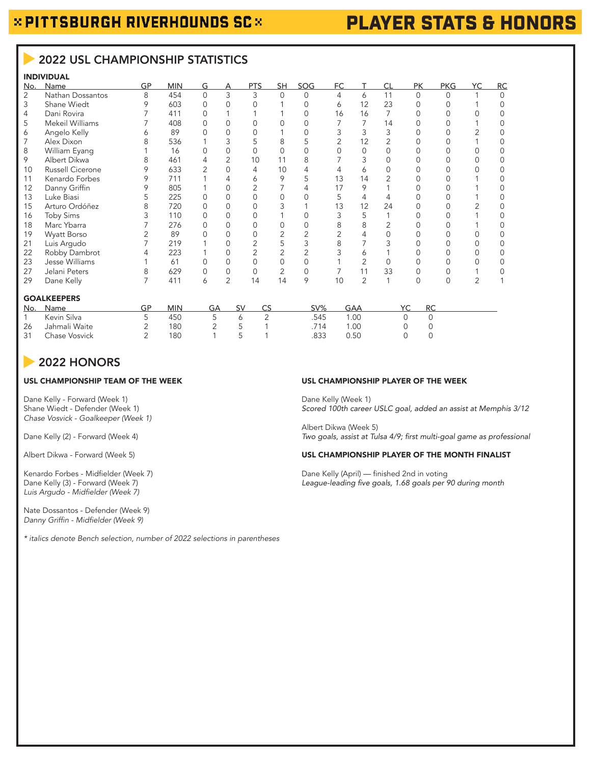# PLAYER STATS & HONORS

## 2022 USL CHAMPIONSHIP STATISTICS

## INDIVIDUAL

| No. | Name             | GP | <b>MIN</b> | G        |                | <b>PTS</b> | SH. | <b>SOG</b> | FC |    | СI | PК | <b>PKG</b> | YC | RC       |
|-----|------------------|----|------------|----------|----------------|------------|-----|------------|----|----|----|----|------------|----|----------|
| 2   | Nathan Dossantos | 8  | 454        | $\Omega$ | 3              | 3          | 0   | $\cap$     | 4  | 6  | 11 | 0  |            |    | $\Omega$ |
| 3   | Shane Wiedt      | 9  | 603        |          |                |            |     |            | 6  | 12 | 23 |    |            |    |          |
| 4   | Dani Rovira      |    | 411        |          |                |            |     |            | 16 | 16 |    |    |            |    |          |
| 5   | Mekeil Williams  |    | 408        |          |                |            |     |            |    |    | 14 |    |            |    |          |
| 6   | Angelo Kelly     |    | 89         |          |                |            |     |            |    |    |    |    |            |    |          |
|     | Alex Dixon       |    | 536        |          |                |            | 8   |            |    | 12 |    |    |            |    |          |
| 8   | William Eyang    |    | 16         |          |                |            |     |            |    |    |    |    |            |    |          |
| 9   | Albert Dikwa     |    | 461        |          |                | 10         | 11  |            |    |    |    |    |            |    |          |
| 10  | Russell Cicerone |    | 633        |          |                | 4          | 10  |            |    | 6  |    |    |            |    |          |
| 11  | Kenardo Forbes   |    | 711        |          |                | 6          | 9   |            | 13 | 14 |    |    |            |    |          |
| 12  | Danny Griffin    |    | 805        |          |                |            |     |            | 17 | 9  |    |    |            |    |          |
| 13  | Luke Biasi       |    | 225        |          | O              |            |     |            |    | 4  |    |    |            |    |          |
| 15  | Arturo Ordóñez   |    | 720        |          |                |            |     |            | 13 | 12 | 24 |    |            |    |          |
| 16  | Toby Sims        |    | 110        |          |                |            |     |            |    |    |    |    |            |    |          |
| 18  | Marc Ybarra      |    | 276        |          |                |            |     |            |    | 8  |    |    |            |    |          |
| 19  | Wyatt Borso      |    | 89         |          |                |            |     |            |    |    |    |    |            |    |          |
| 21  | Luis Argudo      |    | 219        |          |                |            |     |            |    |    |    |    |            |    |          |
| 22  | Robby Dambrot    |    | 223        |          |                |            |     |            |    | Α  |    |    |            |    |          |
| 23  | Jesse Williams   |    | 61         |          |                |            |     |            |    |    |    |    |            |    |          |
| 27  | Jelani Peters    |    | 629        |          | 0              | 0          | 2   |            |    | 11 | 33 |    |            |    |          |
| 29  | Dane Kelly       |    | 411        | Α        | $\overline{2}$ | 14         | 14  | Q          | 10 |    |    |    |            |    |          |
|     |                  |    |            |          |                |            |     |            |    |    |    |    |            |    |          |

#### GOALKEEPERS

| No. | Name          | <b>MIN</b> | $\zeta$ |          | SV%  | GAA  | <b>RC</b> |
|-----|---------------|------------|---------|----------|------|------|-----------|
|     | Kevin Silva   | 450        |         | <u>_</u> | .545 | .00  |           |
| 26  | Jahmali Waite | 180        | ◡       |          | 714  | .00. |           |
| 31  | Chase Vosvick | 180        |         |          | .833 | 0.50 |           |

## 2022 HONORS

## USL CHAMPIONSHIP TEAM OF THE WEEK

Dane Kelly - Forward (Week 1) Shane Wiedt - Defender (Week 1) *Chase Vosvick - Goalkeeper (Week 1)*

Dane Kelly (2) - Forward (Week 4)

Albert Dikwa - Forward (Week 5)

Kenardo Forbes - Midfielder (Week 7) Dane Kelly (3) - Forward (Week 7) Luis Argudo - Midfielder (Week 7)

Nate Dossantos - Defender (Week 9) Danny Griffin - Midfielder (Week 9)

*\* italics denote Bench selection, number of 2022 selections in parentheses* 

#### USL CHAMPIONSHIP PLAYER OF THE WEEK

Dane Kelly (Week 1) *Scored 100th career USLC goal, added an assist at Memphis 3/12*

Albert Dikwa (Week 5) Two goals, assist at Tulsa 4/9; first multi-goal game as professional

#### USL CHAMPIONSHIP PLAYER OF THE MONTH FINALIST

Dane Kelly (April) — finished 2nd in voting League-leading five goals, 1.68 goals per 90 during month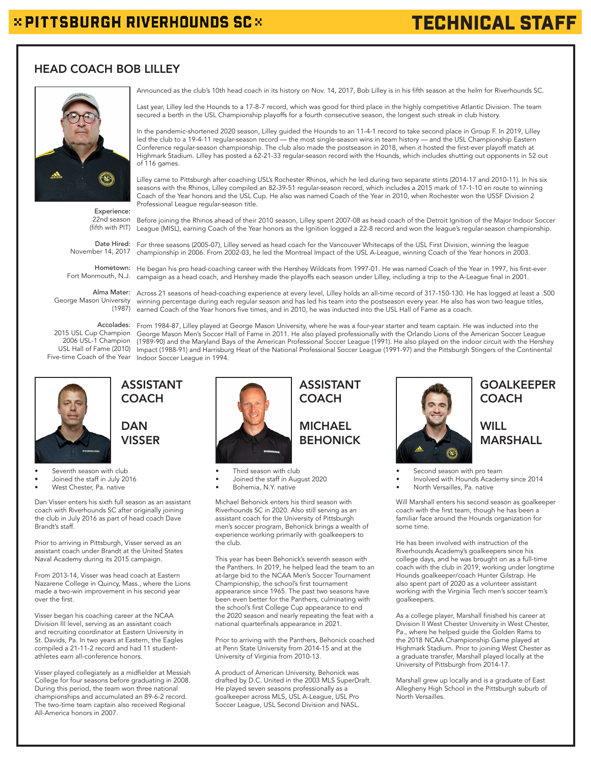## $\times$  PITTSBURGH RIVERHOUNDS SC $\times$

# TECHNICAL STAFF

## HEAD COACH BOB LILLEY



(fifth with PIT) League (MISL), earning Coach of the Year honors as the Ignition logged a 22-8 record and won the league's regular-season championship. Experience: 22nd season

Professional League regular-season title.

Date Hired: For three seasons (2005-07), Lilley served as head coach for the Vancouver Whitecaps of the USL First Division, winning the league November 14, 2017

Hometown: He began his pro head-coaching career with the Hershey Wildcats from 1997-01. He was named Coach of the Year in 1997, his first-ever Fort Monmouth, N.J. campaign as a head coach, and Hershey made the playoffs each season under Lilley, including a trip to the A-League final in 2001.

Alma Mater: Across 21 seasons of head-coaching experience at every level, Lilley holds an all-time record of 317-150-130. He has logged at least a .500 (1880) and the step in the form of the fast a .500 (1880) and the step (1987)  $\,$  earned Coach of the Year honors five times, and in 2010, he was inducted into the USL Hall of Fame as a coach. George Mason University

Accolades: From 1984-87, Lilley played at George Mason University, where he was a four-year starter and team captain. He was inducted into the 2015 USL Cup Champion George Mason Men's Soccer Hall of Fame in 2011. He also played professionally with the Orlando Lions of the American Soccer League USL Hall of Fame (2010)  $\,$  Impact (1988-91) and Harrisburg Heat of the National Professional Soccer League (1991-97) and the Pittsburgh Stingers of the Continental Five-time Coach of the Year Indoor Soccer League in 1994. 2006 USL-1 Champion



Seventh season with club

- Joined the staff in July 2016
- West Chester, Pa. native

Dan Visser enters his sixth full season as an assistant coach with Riverhounds SC after originally joining the club in July 2016 as part of head coach Dave Brandt's staff.

ASSISTANT **COACH** 

**DAN** VISSER

Prior to arriving in Pittsburgh, Visser served as an assistant coach under Brandt at the United States Naval Academy during its 2015 campaign.

From 2013-14, Visser was head coach at Eastern Nazarene College in Quincy, Mass., where the Lions made a two-win improvement in his second year over the first.

Visser began his coaching career at the NCAA Division III level, serving as an assistant coach and recruiting coordinator at Eastern University in St. Davids, Pa. In two years at Eastern, the Eagles compiled a 21-11-2 record and had 11 studentathletes earn all-conference honors.

Visser played collegiately as a midfielder at Messiah College for four seasons before graduating in 2008. During this period, the team won three national championships and accumulated an 89-6-2 record. The two-time team captain also received Regional All-America honors in 2007.



- 
- Joined the staff in August 2020
- Bohemia, N.Y. native

Michael Behonick enters his third season with Riverhounds SC in 2020. Also still serving as an assistant coach for the University of Pittsburgh men's soccer program, Behonick brings a wealth of experience working primarily with goalkeepers to the club.

Announced as the club's 10th head coach in its history on Nov. 14, 2017, Bob Lilley is in his fifth season at the helm for Riverhounds SC.

Before joining the Rhinos ahead of their 2010 season, Lilley spent 2007-08 as head coach of the Detroit Ignition of the Major Indoor Soccer

championship in 2006. From 2002-03, he led the Montreal Impact of the USL A-League, winning Coach of the Year honors in 2003.

winning percentage during each regular season and has led his team into the postseason every year. He also has won two league titles,

(1989-90) and the Maryland Bays of the American Professional Soccer League (1991). He also played on the indoor circuit with the Hershey

This year has been Behonick's seventh season with the Panthers. In 2019, he helped lead the team to an at-large bid to the NCAA Men's Soccer Tournament Championship, the school's first tournament appearance since 1965. The past two seasons have been even better for the Panthers, culminating with the school's first College Cup appearance to end the 2020 season and nearly repeating the feat with a national quarterfinals appearance in 2021.

Prior to arriving with the Panthers, Behonick coached at Penn State University from 2014-15 and at the University of Virginia from 2010-13.

A product of American University, Behonick was drafted by D.C. United in the 2003 MLS SuperDraft. He played seven seasons professionally as a goalkeeper across MLS, USL A-League, USL Pro Soccer League, USL Second Division and NASL.



## GOALKEEPER **COACH**

**WILL** MARSHALL

- Second season with pro team
- Involved with Hounds Academy since 2014
	- North Versailles, Pa. native

Will Marshall enters his second season as goalkeeper coach with the first team, though he has been a familiar face around the Hounds organization for some time.

He has been involved with instruction of the Riverhounds Academy's goalkeepers since his college days, and he was brought on as a full-time coach with the club in 2019, working under longtime Hounds goalkeeper/coach Hunter Gilstrap. He also spent part of 2020 as a volunteer assistant working with the Virginia Tech men's soccer team's goalkeepers.

As a college player, Marshall finished his career at Division II West Chester University in West Chester, Pa., where he helped guide the Golden Rams to the 2018 NCAA Championship Game played at Highmark Stadium. Prior to joining West Chester as a graduate transfer, Marshall played locally at the University of Pittsburgh from 2014-17.

Marshall grew up locally and is a graduate of East Allegheny High School in the Pittsburgh suburb of North Versailles.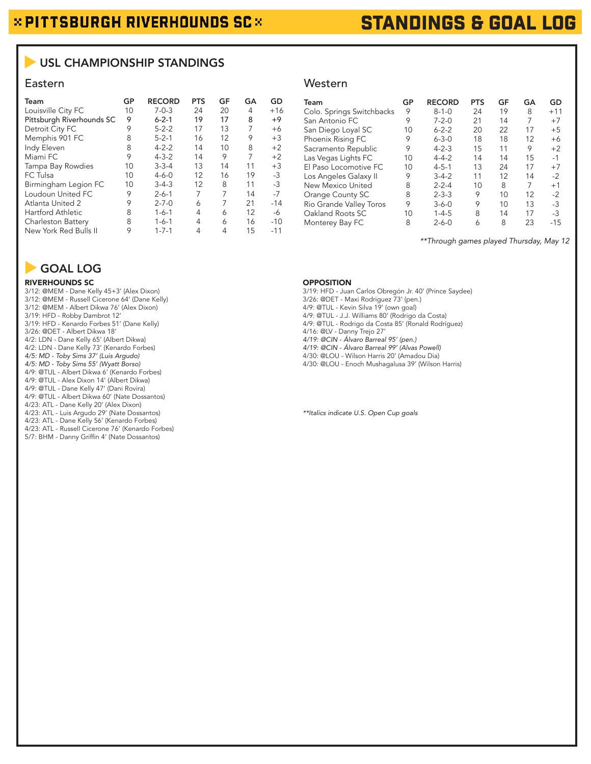# STANDINGS & GOAL LOG

## USL CHAMPIONSHIP STANDINGS

| Team                      | GP | <b>RECORD</b> | <b>PTS</b> | GF | GA | GD    |
|---------------------------|----|---------------|------------|----|----|-------|
| Louisville City FC        | 10 | $7 - 0 - 3$   | 24         | 20 | 4  | $+16$ |
| Pittsburgh Riverhounds SC | 9  | $6 - 2 - 1$   | 19         | 17 | 8  | $+9$  |
| Detroit City FC           | 9  | $5 - 2 - 2$   | 17         | 13 | 7  | $+6$  |
| Memphis 901 FC            | 8  | $5 - 2 - 1$   | 16         | 12 | 9  | $+3$  |
| Indy Eleven               | 8  | $4 - 2 - 2$   | 14         | 10 | 8  | $+2$  |
| Miami FC                  | 9  | $4 - 3 - 2$   | 14         | 9  | 7  | $+2$  |
| Tampa Bay Rowdies         | 10 | $3 - 3 - 4$   | 13         | 14 | 11 | $+3$  |
| FC Tulsa                  | 10 | $4 - 6 - 0$   | 12         | 16 | 19 | $-3$  |
| Birmingham Legion FC      | 10 | $3-4-3$       | 12         | 8  | 11 | $-3$  |
| Loudoun United FC         | 9  | $2 - 6 - 1$   | 7          | 7  | 14 | $-7$  |
| Atlanta United 2          | 9  | $2 - 7 - 0$   | 6          | 7  | 21 | $-14$ |
| <b>Hartford Athletic</b>  | 8  | $1 - 6 - 1$   | 4          | 6  | 12 | -6    |
| Charleston Battery        | 8  | $1 - 6 - 1$   | 4          | 6  | 16 | $-10$ |
| New York Red Bulls II     | 9  | $1 - 7 - 1$   | 4          | 4  | 15 | $-11$ |

### Eastern Western Western Western Western Western Western Western Western Western Western Western Western Music State and Music State and Music State and Music State and Music State and Music State and Music State and Music

| Team                      | GP | <b>RECORD</b> | <b>PTS</b> | GF | GA | GD    |
|---------------------------|----|---------------|------------|----|----|-------|
| Colo. Springs Switchbacks | 9  | $8 - 1 - 0$   | 24         | 19 | 8  | $+11$ |
| San Antonio FC            | 9  | $7 - 2 - 0$   | 21         | 14 | 7  | $+7$  |
| San Diego Loyal SC        | 10 | $6 - 2 - 2$   | 20         | 22 | 17 | $+5$  |
| Phoenix Rising FC         | 9  | $6 - 3 - 0$   | 18         | 18 | 12 | $+6$  |
| Sacramento Republic       | 9  | $4 - 2 - 3$   | 15         | 11 | 9  | $+2$  |
| Las Vegas Lights FC       | 10 | $4 - 4 - 2$   | 14         | 14 | 15 | $-1$  |
| El Paso Locomotive FC     | 10 | $4 - 5 - 1$   | 13         | 24 | 17 | $+7$  |
| Los Angeles Galaxy II     | 9  | $3-4-2$       | 11         | 12 | 14 | $-2$  |
| New Mexico United         | 8  | $2 - 2 - 4$   | 10         | 8  | 7  | $+1$  |
| Orange County SC          | 8  | $2 - 3 - 3$   | 9          | 10 | 12 | $-2$  |
| Rio Grande Valley Toros   | 9  | $3 - 6 - 0$   | 9          | 10 | 13 | $-3$  |
| Oakland Roots SC          | 10 | $1 - 4 - 5$   | 8          | 14 | 17 | $-3$  |
| Monterey Bay FC           | 8  | $2 - 6 - 0$   | 6          | 8  | 23 | -15   |

*\*\*Through games played Thursday, May 12*

#### OPPOSITION

3/19: HFD - Juan Carlos Obregón Jr. 40' (Prince Saydee) 3/26: @DET - Maxi Rodriguez 73' (pen.) 4/9: @TUL - Kevin Silva 19' (own goal) 4/9: @TUL - J.J. Williams 80' (Rodrigo da Costa) 4/9: @TUL - Rodrigo da Costa 85' (Ronald Rodríguez) 4/16: @LV - Danny Trejo 27' 4/19: @CIN - Álvaro Barreal 95' (pen.) 4/19: @CIN - Álvaro Barreal 99' (Alvas Powell) 4/30: @LOU - Wilson Harris 20' (Amadou Dia) 4/30: @LOU - Enoch Mushagalusa 39' (Wilson Harris)

\*\*Italics indicate U.S. Open Cup goals

GOAL LOG

#### RIVERHOUNDS SC

3/12: @MEM - Dane Kelly 45+3' (Alex Dixon) 3/12: @MEM - Russell Cicerone 64' (Dane Kelly) 3/12: @MEM - Albert Dikwa 76' (Alex Dixon) 3/19: HFD - Robby Dambrot 12' 3/19: HFD - Kenardo Forbes 51' (Dane Kelly) 3/26: @DET - Albert Dikwa 18' 4/2: LDN - Dane Kelly 65' (Albert Dikwa) 4/2: LDN - Dane Kelly 73' (Kenardo Forbes) 4/5: MD - Toby Sims 37' (Luis Argudo) 4/5: MD - Toby Sims 55' (Wyatt Borso) 4/9: @TUL - Albert Dikwa 6' (Kenardo Forbes) 4/9: @TUL - Alex Dixon 14' (Albert Dikwa) 4/9: @TUL - Dane Kelly 47' (Dani Rovira) 4/9: @TUL - Albert Dikwa 60' (Nate Dossantos) 4/23: ATL - Dane Kelly 20' (Alex Dixon) 4/23: ATL - Luis Argudo 29' (Nate Dossantos) 4/23: ATL - Dane Kelly 56' (Kenardo Forbes) 4/23: ATL - Russell Cicerone 76' (Kenardo Forbes) 5/7: BHM - Danny Griffin 4' (Nate Dossantos)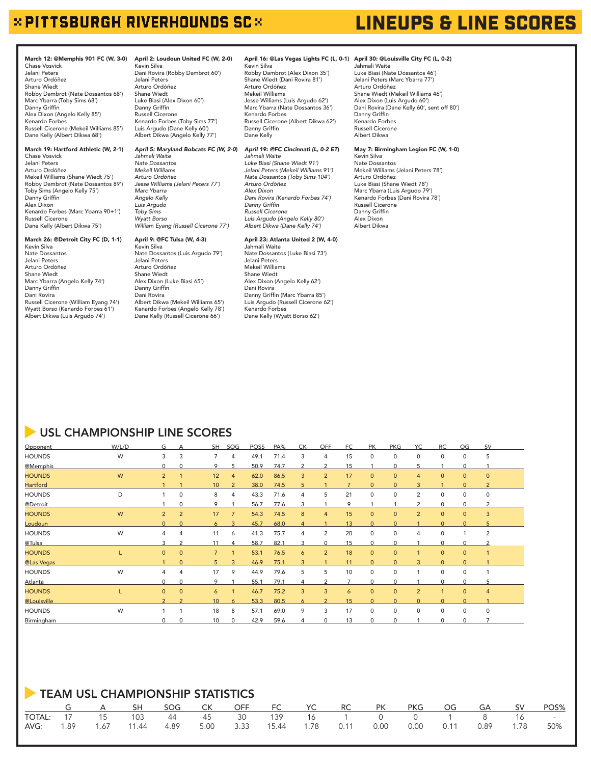## $\times$  PITTSBURGH RIVERHOUNDS SC $\times$

#### March 12: @Memphis 901 FC (W, 3-0) Chase Vosvick Jelani Peters Arturo Ordóñez Shane Wiedt Robby Dambrot (Nate Dossantos 68') Marc Ybarra (Toby Sims 68') Danny Griffin Alex Dixon (Angelo Kelly 85') Kenardo Forbes Russell Cicerone (Mekeil Williams 85') Dane Kelly (Albert Dikwa 68')

#### March 19: Hartford Athletic (W, 2-1)

Chase Vosvick Jelani Peters Arturo Ordóñez Mekeil Williams (Shane Wiedt 75') Robby Dambrot (Nate Dossantos 89') Toby Sims (Angelo Kelly 75') Danny Griffin Alex Dixon Kenardo Forbes (Marc Ybarra 90+1') Russell Cicerone Dane Kelly (Albert Dikwa 75')

#### March 26: @Detroit City FC (D, 1-1)

Kevin Silva Nate Dossantos Jelani Peters Arturo Ordóñez Shane Wiedt Marc Ybarra (Angelo Kelly 74') Danny Griffin Dani Rovira Russell Cicerone (William Eyang 74') Wyatt Borso (Kenardo Forbes 61') Albert Dikwa (Luis Argudo 74')

April 2: Loudoun United FC (W, 2-0) Kevin Silva Dani Rovira (Robby Dambrot 60') Jelani Peters Arturo Ordóñez Shane Wiedt Luke Biasi (Alex Dixon 60') Danny Griffin Russell Cicerone Kenardo Forbes (Toby Sims 77') Luis Argudo (Dane Kelly 60') Albert Dikwa (Angelo Kelly 77')

#### *April 5: Maryland Bobcats FC (W, 2-0*) *Jahmali Waite*

*Nate Dossantos Mekeil Williams Arturo Ordóñez Jesse Williams (Jelani Peters 77') Marc Ybarra Angelo Kelly Luis Argudo Toby Sims Wyatt Borso William Eyang (Russell Cicerone 77')*

#### April 9: @FC Tulsa (W, 4-3)

Kevin Silva Nate Dossantos (Luis Argudo 79') Jelani Peters Arturo Ordóñez Shane Wiedt Alex Dixon (Luke Biasi 65') Danny Griffin Dani Rovira Albert Dikwa (Mekeil Williams 65') Kenardo Forbes (Angelo Kelly 78') Dane Kelly (Russell Cicerone 66')

#### April 16: @Las Vegas Lights FC (L, 0-1) April 30: @Louisville City FC (L, 0-2)

Kevin Silva Robby Dambrot (Alex Dixon 35') Shane Wiedt (Dani Rovira 81') Arturo Ordóñez Mekeil Williams Jesse Williams (Luis Argudo 62') Marc Ybarra (Nate Dossantos 36') Kenardo Forbes Russell Cicerone (Albert Dikwa 62') Danny Griffin Dane Kelly

#### *April 19: @FC Cincinnati (L, 0-2 ET*) *Jahmali Waite*

*Luke Biasi (Shane Wiedt 91') Jelani Peters (Mekeil Williams 91') Nate Dossantos (Toby Sims 104') Arturo Ordóñez Alex Dixon Dani Rovira (Kenardo Forbes 74')* Danny Griffin *Russell Cicerone Luis Argudo (Angelo Kelly 80') Albert Dikwa (Dane Kelly 74')*

#### April 23: Atlanta United 2 (W, 4-0) Jahmali Waite

Nate Dossantos (Luke Biasi 73') Jelani Peters Mekeil Williams Shane Wiedt Alex Dixon (Angelo Kelly 62') Dani Rovira Danny Griffin (Marc Ybarra 85') Luis Argudo (Russell Cicerone 62') Kenardo Forbes Dane Kelly (Wyatt Borso 62')

# LINEUPS & LINE SCORES

Jahmali Waite Luke Biasi (Nate Dossantos 46') Jelani Peters (Marc Ybarra 77') Arturo Ordóñez Shane Wiedt (Mekeil Williams 46') Alex Dixon (Luis Argudo 60') Dani Rovira (Dane Kelly 60', sent off 80') Danny Griffin Kenardo Forbes Russell Cicerone Albert Dikwa

#### May 7: Birmingham Legion FC (W, 1-0)

Kevin Silva Nate Dossantos Mekeil Williams (Jelani Peters 78') Arturo Ordóñez Luke Biasi (Shane Wiedt 78') Marc Ybarra (Luis Argudo 79') Kenardo Forbes (Dani Rovira 78') Russell Cicerone Danny Griffin Alex Dixon Albert Dikwa

## **USL CHAMPIONSHIP LINE SCORES**

| Opponent        | W/L/D | G              |                | SH <sub>1</sub> | SOG            | <b>POSS</b> | PA%  | <b>CK</b>      | <b>OFF</b>     | FC             | <b>PK</b>    | <b>PKG</b>   | YC.            | <b>RC</b>      | OG           | <b>SV</b>      |  |
|-----------------|-------|----------------|----------------|-----------------|----------------|-------------|------|----------------|----------------|----------------|--------------|--------------|----------------|----------------|--------------|----------------|--|
| <b>HOUNDS</b>   | W     | 3              | 3              | $\overline{7}$  | 4              | 49.1        | 71.4 | 3              | 4              | 15             | $\mathbf 0$  | $\mathbf 0$  | $\mathbf 0$    | $\mathbf 0$    | $\mathbf 0$  | 5              |  |
| @Memphis        |       | $\Omega$       | $\Omega$       | 9               | 5              | 50.9        | 74.7 | 2              |                | 15             |              | $\Omega$     |                |                | $\Omega$     |                |  |
| <b>HOUNDS</b>   | W     | $\overline{2}$ |                | 12              | $\overline{4}$ | 62.0        | 86.5 | 3              | $\overline{2}$ | 17             | $\mathbf{0}$ | $\mathbf{0}$ | $\overline{4}$ | $\mathbf{0}$   | $\mathbf{0}$ | $\mathbf{0}$   |  |
| <b>Hartford</b> |       |                |                | 10              | $\overline{2}$ | 38.0        | 74.5 | 5              |                | $\overline{7}$ | $\Omega$     | $\Omega$     | 3              |                | $\Omega$     | $\overline{2}$ |  |
| <b>HOUNDS</b>   | D     |                | $\mathbf 0$    | 8               | 4              | 43.3        | 71.6 | $\overline{4}$ | 5              | 21             | $\mathbf 0$  | $\mathbf 0$  | 2              | $\mathbf 0$    | 0            | $\mathbf 0$    |  |
| @Detroit        |       |                | $\Omega$       | 9               |                | 56.7        | 77.6 | 3              |                | 9              |              |              | ົ              | $\mathbf 0$    | $\Omega$     | っ              |  |
| <b>HOUNDS</b>   | W     | 2              | $\overline{2}$ | 17              | $\overline{7}$ | 54.3        | 74.5 | 8              | $\overline{4}$ | 15             | $\mathbf{0}$ | $\mathbf{0}$ | $\overline{2}$ | $\mathbf{0}$   | $\mathbf{0}$ | 3              |  |
| <b>Loudoun</b>  |       | $\Omega$       |                | 6               |                | 45.7        | 68.0 |                |                | 13             | $\Omega$     | $\Omega$     |                | $\Omega$       |              |                |  |
| <b>HOUNDS</b>   | W     | 4              | 4              | 11              | 6              | 41.3        | 75.7 | 4              | 2              | 20             | $\mathbf 0$  | $\mathbf 0$  | 4              | 0              |              | 2              |  |
| @Tulsa          |       | 3              | $\mathcal{P}$  | 11              | 4              | 58.7        | 82.1 | 3              | $\Omega$       | 15             | $\Omega$     | $\Omega$     |                | $\mathbf 0$    | $\Omega$     | 2              |  |
| <b>HOUNDS</b>   |       | $\mathbf{0}$   | $\mathbf{0}$   | $\overline{7}$  | $\mathbf{1}$   | 53.1        | 76.5 | 6              | $\overline{2}$ | 18             | $\mathbf{0}$ | $\mathbf{0}$ | $\overline{1}$ | $\mathbf{0}$   | $\mathbf 0$  |                |  |
| @Las Vegas      |       |                |                | 5 <sub>1</sub>  | $\mathbf{a}$   | 46.9        | 75.1 | 3              |                | 11             | $\Omega$     |              |                | $\Omega$       |              |                |  |
| <b>HOUNDS</b>   | W     | 4              | $\overline{4}$ | 17              | 9              | 44.9        | 79.6 | 5              | 5              | 10             | $\mathbf 0$  | $\mathbf 0$  |                | $\mathbf 0$    | 0            |                |  |
| Atlanta         |       | $\Omega$       | $\Omega$       | 9               |                | 55.1        | 79.1 | 4              |                |                | $\Omega$     | $\Omega$     |                | $\Omega$       | $\Omega$     | 5              |  |
| <b>HOUNDS</b>   |       | $\mathbf{0}$   | $\mathbf{0}$   | 6               |                | 46.7        | 75.2 | 3              | 3              | 6              | $\mathbf{0}$ | $\mathbf{0}$ | $\overline{2}$ | $\overline{1}$ | $\mathbf{0}$ | 4              |  |
| @Louisville     |       | $\overline{2}$ |                | 10              | 6              | 53.3        | 80.5 | 6              |                | 15             | $\Omega$     | $\Omega$     | $\Omega$       | $\Omega$       | $\Omega$     |                |  |
| <b>HOUNDS</b>   | W     | 1              |                | 18              | 8              | 57.1        | 69.0 | 9              | 3              | 17             | $\mathbf 0$  | $\mathbf 0$  | $\mathbf 0$    | $\mathbf 0$    | 0            | $\mathbf 0$    |  |
| Birmingham      |       | U              |                | 10              | $\cap$         | 42.9        | 59.6 |                |                | 13             | $\Omega$     | $\Omega$     |                | $\Omega$       | U            |                |  |

## TEAM USL CHAMPIONSHIP STATISTICS G A SH SOG CK OFF FC YC RC PK PKG OG GA SV POS% TOTAL: 17 15 103 44 45 30 139 16 1 0 0 1 8 16 - AVG: 1.89 1.67 11.44 4.89 5.00 3.33 15.44 1.78 0.11 0.00 0.00 0.11 0.89 1.78 50%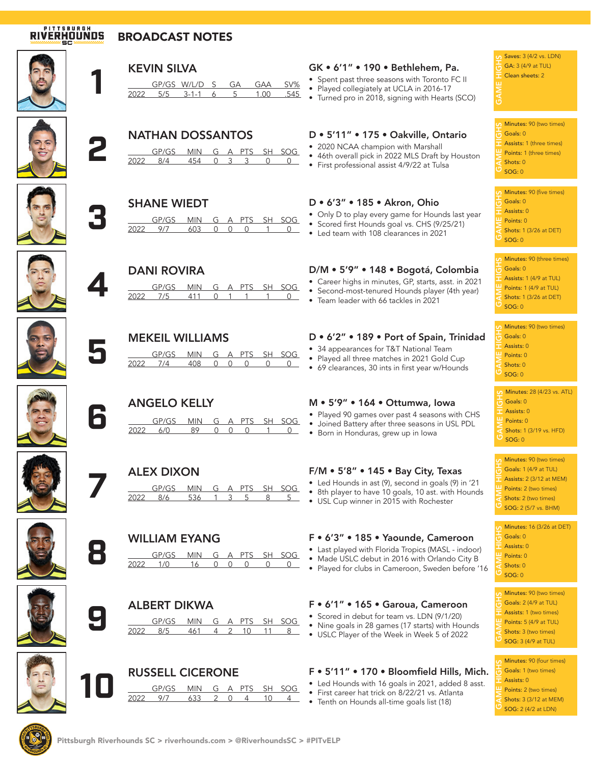# **RIVERHOUNDS**

## BROADCAST NOTES





## **NATHAN DOSSANTOS**<br>
<u>2022 8/4 454 0 3 3</u> GP/GS MIN G A PTS SH SOG<br>8/4 454 0 3 3 0 0 2022 8/4 454 0 3 3 0 0



## **SHANE WIEDT**<br>
<u>GP/GS MIN</u><br>
2022 9/7 603 MIN G A PTS SH SOG 2022 9/7 603 0 0 0 1 0



## **4** DANI ROVIRA

|       |     | MIN G A PTS SH SOG |  |  |  |
|-------|-----|--------------------|--|--|--|
| 11172 | 7/5 |                    |  |  |  |



## **5** MEKEIL WILLIAMS

| GP/GS MIN G A PTS SH SOG |  |                                            |  |
|--------------------------|--|--------------------------------------------|--|
| 2022 – 774 –             |  | $\begin{array}{ccc} 0 & 0 & 0 \end{array}$ |  |



ANGELO KELLY M • 5'9" • 164 • Ottumwa, Iowa<br>
GP/GS MIN G A PTS SH SOG • Joined Battery after three seasons in US<br>
<u>2022 6/0 89 0 0 0 1 0</u> • Born in Honduras, grew up in Iowa GP/GS MIN G A PTS SH SOG 2022 6/0 89 0 0 0 1 0



# **ALEX DIXON**<br><u>GP/GS MIN</u><br>2022 8/6 536



## **8** WILLIAM EYANG GP/GS MIN G A PTS SH SOG 2022 1/0 16 0 0 0 0 0





| <b>RUSSELL CICERONE</b> |  |  |  |
|-------------------------|--|--|--|
| CDICC MINI C A DTC CLI  |  |  |  |

**ALBERT DIKWA**<br> **GP/GS** MIN G<br> **2022** 8/5 461 4

## **10** RUSSELL CICERONE MIN G A PTS SH SOG<br>633 2 0 4 10 4 2022 9/7 633 2 0 4 10 4

GP/GS MIN G A PTS SH SOG 2022 8/5 461 4 2 10 11 8

| <b>KEVIN SILVA</b><br>GP/GS W/L/D<br>SV%<br>GA<br>GAA<br>2022<br>.545<br>5/5<br>$3 - 1 - 1$<br>1.00                                                   | GK . 6'1" . 190 . Bethlehem, Pa.<br>• Spent past three seasons with Toronto FC II<br>• Played collegiately at UCLA in 2016-17<br>• Turned pro in 2018, signing with Hearts (SCO) | Saves: 3 (4/2 vs. Ll<br>GA: $3(4/9$ at TUL)<br>$\blacksquare$ Clean sheets: 2<br><b>GAN</b>            |
|-------------------------------------------------------------------------------------------------------------------------------------------------------|----------------------------------------------------------------------------------------------------------------------------------------------------------------------------------|--------------------------------------------------------------------------------------------------------|
| <b>NATHAN DOSSANTOS</b><br>SH SOG<br>GP/GS<br>A PTS<br><b>MIN</b><br>G<br>2022<br>8/4<br>454<br>$\cap$<br>3<br>3<br>$\Omega$                          | D . 5'11" . 175 . Oakville, Ontario<br>• 2020 NCAA champion with Marshall<br>• 46th overall pick in 2022 MLS Draft by Houston<br>• First professional assist 4/9/22 at Tulsa     | Minutes: 90 (two ti<br>Goals: 0<br>Assists: 1 (three tir<br>Points: 1 (three tin<br>Shots: 0<br>SOG: 0 |
| <b>SHANE WIEDT</b><br><b>PTS</b><br>GP/GS<br>SH SOG<br><b>MIN</b><br>G<br>A<br>2022<br>9/7<br>603<br>$\Omega$<br>$\Omega$<br><sup>n</sup><br>$\Omega$ | D . 6'3" . 185 . Akron, Ohio<br>• Only D to play every game for Hounds last year<br>• Scored first Hounds goal vs. CHS (9/25/21)<br>Led team with 108 clearances in 2021         | Minutes: 90 (five ti<br>Goals: 0<br>Assists: 0<br>Points: 0<br>Shots: 1 (3/26 at D<br>SOG: 0           |
|                                                                                                                                                       |                                                                                                                                                                                  | Minutes: 90 (three                                                                                     |

## D • 6'2" • 189 • Port of Spain, Trinidad

- 34 appearances for T&T National Team
- Played all three matches in 2021 Gold Cup
- 69 clearances, 30 ints in first year w/Hounds

- Played 90 games over past 4 seasons with CHS
- Joined Battery after three seasons in USL PDL
- Born in Honduras, grew up in Iowa

## F/M • 5'8" • 145 • Bay City, Texas

- Led Hounds in ast (9), second in goals (9) in '21
- 8th player to have 10 goals, 10 ast. with Hounds
- USL Cup winner in 2015 with Rochester

## F • 6'3" • 185 • Yaounde, Cameroon

- Last played with Florida Tropics (MASL indoor)
- Made USLC debut in 2016 with Orlando City B
- Played for clubs in Cameroon, Sweden before '16

## F • 6'1" • 165 • Garoua, Cameroon

- Scored in debut for team vs. LDN (9/1/20)
- Nine goals in 28 games (17 starts) with Hounds
- USLC Player of the Week in Week 5 of 2022

## F • 5'11" • 170 • Bloomfield Hills, Mich.

- Led Hounds with 16 goals in 2021, added 8 asst.
- First career hat trick on 8/22/21 vs. Atlanta
- Tenth on Hounds all-time goals list (18)

**GAME HIGHS SAVES:** 3 (4/2 vs. LDN)<br> **G** GA: 3 (4/9 at TUL)<br> **T** Clean sheets: 2<br>
<del>G</del><br>
GO Minutes: 90 (two times) als:  $\Omega$ 

Assists: 1 (three times) Points: 1 (three times) Shots: 0  $G: 0$ SOG: 0

| Minutes: 90 (five times)                        |
|-------------------------------------------------|
| $\overline{\phantom{a}}$ Goals: 0               |
| Assists: 0                                      |
| $\perp$ Points: 0                               |
|                                                 |
| Shots: 1 (3/26 at DET)<br>$\overline{D}$ SOG: 0 |
|                                                 |
| Minutes: 90 (three times)                       |
| $\Box$ Goale: 0                                 |

| <b>Minutes:</b> 90 (three times)      |
|---------------------------------------|
| $\frac{1}{10}$ Goals: 0               |
| Assists: 1 (4/9 at TUL)               |
| Points: 1 (4/9 at TUL)                |
| $\overline{4}$ Shots: 1 (3/26 at DET) |
| $\overline{O}$ sog: 0                 |
|                                       |

|    | <b>Minutes: 90 (two times)</b>                                                                                                                                                                                                                                                                                                     |
|----|------------------------------------------------------------------------------------------------------------------------------------------------------------------------------------------------------------------------------------------------------------------------------------------------------------------------------------|
|    | $\frac{1}{10}$ Goals: 0                                                                                                                                                                                                                                                                                                            |
|    | Assists: 0                                                                                                                                                                                                                                                                                                                         |
|    | Points: 0                                                                                                                                                                                                                                                                                                                          |
|    | $\overline{a}$ Shots: 0                                                                                                                                                                                                                                                                                                            |
| Ò) | SOG: 0                                                                                                                                                                                                                                                                                                                             |
|    |                                                                                                                                                                                                                                                                                                                                    |
|    | $\mathbf{A}$ $\mathbf{A}$ $\mathbf{A}$ $\mathbf{A}$ $\mathbf{A}$ $\mathbf{A}$ $\mathbf{A}$ $\mathbf{A}$ $\mathbf{A}$ $\mathbf{A}$ $\mathbf{A}$ $\mathbf{A}$ $\mathbf{A}$ $\mathbf{A}$ $\mathbf{A}$ $\mathbf{A}$ $\mathbf{A}$ $\mathbf{A}$ $\mathbf{A}$ $\mathbf{A}$ $\mathbf{A}$ $\mathbf{A}$ $\mathbf{A}$ $\mathbf{A}$ $\mathbf{$ |

| <b>Minutes: 28 (4/23 vs. ATL)</b>     |
|---------------------------------------|
| $\frac{1}{12}$ Goals: 0               |
| $\overline{\phantom{a}}$ Assists: $0$ |
| $\frac{11}{2}$ Points: 0              |
| Shots: 1 (3/19 vs. HFD)               |
| $\sigma$ <sub>SOG: 0</sub>            |

**GAME HIGHSMINUTES:** 90 (two times)<br> **GAME GAME HIGHSMINUTES:** 2 (3/12 at MEN<br> **LE Points:** 2 (two times)<br> **GAME SMINUTES:** 2 (two times)<br> **CAME SMINUTES:** 2 (F.73 up BLM) Goals: 1 (4/9 at TUL) Assists: 2 (3/12 at MEM) Points: 2 (two times) Shots: 2 (two times) SOG: 2 (5/7 vs. BHM)

Minutes: 16 (3/26 at DET) Goals: 0 Assists: 0 Points: 0 Shots: 0 GAME HIGHS  $SOG: 0$ 

**GAME HIGHS: 90 (two times)**<br> **Gals: 2** (4/9 at TUL)<br> **H** Assists: 1 (two times)<br> **H** Points: 5 (4/9 at TUL)<br>
Shots: 3 (two times)<br> **C** SOG: 3 (4/9 at TUL) Goals: 2 (4/9 at TUL) Assists: 1 (two times) Points: 5 (4/9 at TUL) Shots: 3 (two times) SOG: 3 (4/9 at TUL)

| <b>Minutes: 90 (four times)</b>    |
|------------------------------------|
| Goals: 1 (two times)               |
| $\blacksquare$ Assists: 0          |
| Points: 2 (two times)              |
| Shots: $3(3/12$ at MEM)            |
| $\overline{O}$ SOG: 2 (4/2 at LDN) |









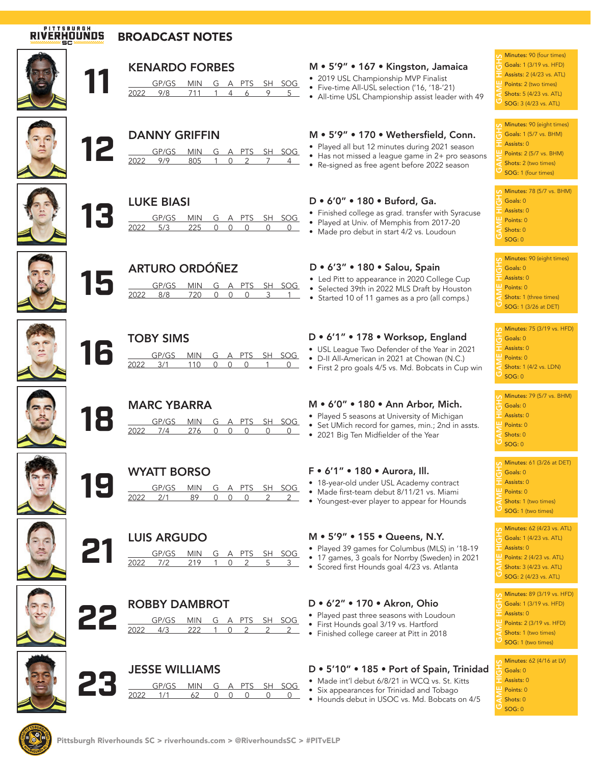# **RIVERHOUNDS**

## BROADCAST NOTES











| 2022 | 5/3 |  | $\Omega$          |     |  |  |                          |  |
|------|-----|--|-------------------|-----|--|--|--------------------------|--|
|      |     |  | <b>LUKE BIASI</b> | 225 |  |  | GP/GS MIN G A PTS SH SOG |  |



## **158 ARTURO ORDÓÑEZ<br>
1582 BONA DE ADORECTADO DE ADORESTADO DE ADORESTION DE ADORESTION DE ADORESTION DE ADORESTION DE ADORECTADO DE A** GP/GS MIN G A PTS SH SOG 2022 8/8 720 0 0 0 3 1



# **16** TOBY SIMS

|            |            |  | $G \Delta$ PTC | - SH | 50 Y - |
|------------|------------|--|----------------|------|--------|
| <i>HYP</i> | $\prec$ /1 |  |                |      |        |
|            |            |  |                |      |        |







## **1999 WYATT BORSO**<br>
<u>1999 BORS MIN G</u><br>
2022 2/1 89 0 G A PTS SH SOG  $0 \quad 0 \quad 2$



| <b>LUIS ARGUDO</b> |                          |     |  |  |  |  |  |  |
|--------------------|--------------------------|-----|--|--|--|--|--|--|
|                    | GP/GS MIN G A PTS SH SOG |     |  |  |  |  |  |  |
|                    |                          | 219 |  |  |  |  |  |  |
|                    |                          |     |  |  |  |  |  |  |







**ROBBY DAMBROT**<br>
<u>2022 143 222 1 0</u>



2022 4/3 222 1 0 2 2 2

PTS SH SOG

## M • 5'9" • 167 • Kingston, Jamaica

- 2019 USL Championship MVP Finalist
- Five-time All-USL selection ('16, '18-'21)
- All-time USL Championship assist leader with 49

## M • 5'9" • 170 • Wethersfield, Conn.

- Played all but 12 minutes during 2021 season
- Has not missed a league game in 2+ pro seasons
- Re-signed as free agent before 2022 season

### D • 6'0" • 180 • Buford, Ga.

- Finished college as grad. transfer with Syracuse
- Played at Univ. of Memphis from 2017-20
- Made pro debut in start 4/2 vs. Loudoun

#### D • 6'3" • 180 • Salou, Spain

- Led Pitt to appearance in 2020 College Cup
- Selected 39th in 2022 MLS Draft by Houston
- Started 10 of 11 games as a pro (all comps.)

## D • 6'1" • 178 • Worksop, England

- USL League Two Defender of the Year in 2021
- D-II All-American in 2021 at Chowan (N.C.)
- First 2 pro goals 4/5 vs. Md. Bobcats in Cup win

### M • 6'0" • 180 • Ann Arbor, Mich.

- Played 5 seasons at University of Michigan
- Set UMich record for games, min.; 2nd in assts.
- 2021 Big Ten Midfielder of the Year

### F • 6'1" • 180 • Aurora, Ill.

- 18-year-old under USL Academy contract
- Made first-team debut 8/11/21 vs. Miami
- Youngest-ever player to appear for Hounds

#### M • 5'9" • 155 • Queens, N.Y.

- Played 39 games for Columbus (MLS) in '18-19
- 17 games, 3 goals for Norrby (Sweden) in 2021
- Scored first Hounds goal 4/23 vs. Atlanta

## D • 6'2" • 170 • Akron, Ohio

- Played past three seasons with Loudoun
- First Hounds goal 3/19 vs. Hartford
- Finished college career at Pitt in 2018

## D • 5'10" • 185 • Port of Spain, Trinidad

- 
- Six appearances for Trinidad and Tobago
- 

**GAME HIGHS:** 90 (four times)<br> **GAME HIGHSMINUM HIGHSMINUM**<br>  $\frac{d\mathbf{U}}{dt}$  **Assists: 2** (4/23 vs. ATL)<br> **GAME SHOTS:** 5 (4/23 vs. ATL)<br> **GAME SHOTS: 2** (4/23 vs. ATL) Goals: 1 (3/19 vs. HFD) Assists: 2 (4/23 vs. ATL) Points: 2 (two times)

Shots: 5 (4/23 vs. ATL) SOG: 3 (4/23 vs. ATL)

Minutes: 90 (<br>
Goals: 1 (5/7<br>
Assists: 0<br>
Points: 2 (5/7<br>
Shots: 2 (two<br>
SOG: 1 (four Goals: 1 (5/7 vs. BHM) Assists: 0 Points: 2 (5/7 vs. BHM) Shots: 2 (two times) GAME HIGHS SOG: 1 (four times) Minutes: 90 (eight times)

| <b>Minutes: 78 (5/7 vs. BHM)</b>            |
|---------------------------------------------|
| $\frac{1}{10}$ Goals: 0                     |
| Assists: 0                                  |
| $\mathbf{\mathbf{\underline{u}}}$ Points: 0 |
| $\leq$ Shots: 0                             |
| $\sigma$ <sub>sog: 0</sub>                  |

| <b>Minutes: 90 (eight times)</b>    |
|-------------------------------------|
| $\frac{1}{10}$ Goals: 0             |
| Assists: 0                          |
| $\mathbf{\mathbf{\perp}}$ Points: 0 |
| Shots: 1 (three times)              |
| $\overline{O}$ SOG: 1 (3/26 at DET) |
|                                     |

| $\bullet$ Minutes: 75 (3/19 vs. HFD) |
|--------------------------------------|
| $\overline{1}$ Goals: 0              |
| $\overline{\phantom{a}}$ Assists: 0  |
| $\mathbf{\mathsf{u}}$ Points: 0      |
| Shots: 1 (4/2 vs. LDN)               |
| $\sigma$ <sub>SOG: 0</sub>           |
|                                      |

|   | <b>Minutes: 79 (5/7 vs. BHM)</b><br>$\frac{1}{10}$ Goals: 0<br>$\overline{\phantom{a}}$ Assists: 0<br>$\mathbf{\mathbf{\underline{u}}}$ Points: 0<br>$\ge$ Shots: 0 |
|---|---------------------------------------------------------------------------------------------------------------------------------------------------------------------|
|   | $\overline{O}$ sog: 0                                                                                                                                               |
|   |                                                                                                                                                                     |
|   | <b>n</b> Minutes: 61 (3/26 at DET)                                                                                                                                  |
|   | $\frac{1}{11}$ Goals: 0                                                                                                                                             |
|   | $\overline{\phantom{a}}$ Assists: 0                                                                                                                                 |
|   | $\mathbf{\mathbf{\underline{u}}}$ Points: 0                                                                                                                         |
| õ | Shots: 1 (two times)                                                                                                                                                |

- Points: 0
- Shots: 1 (two times)
- SOG: 1 (two times)

 $\frac{1}{\sqrt{10}}$  Minutes: 62 (4/23 vs. ATL)<br>  $\frac{1}{\sqrt{10}}$  Goals: 1 (4/23 vs. ATL)<br>  $\frac{1}{\sqrt{10}}$  Points: 2 (4/23 vs. ATL)<br>  $\frac{1}{\sqrt{10}}$  Shots: 3 (4/23 vs. ATL)<br>  $\frac{1}{\sqrt{10}}$  Socie: 3 (4/23 vs. ATL) Goals: 1 (4/23 vs. ATL) Assists: 0 Points: 2 (4/23 vs. ATL) Shots: 3 (4/23 vs. ATL) SOG: 2 (4/23 vs. ATL)

 $\frac{G_1}{G_2}$  Minutes: 89 (3/19 vs. HFD)<br>  $\frac{G_2}{G_2}$  Coals: 1 (3/19 vs. HFD)<br>  $\frac{G_1}{G_2}$  Points: 2 (3/19 vs. HFD)<br>  $\frac{G_2}{G_2}$  Shots: 1 (two times)<br>  $G_1$  Shots: 1 (two times) Goals: 1 (3/19 vs. HFD) Assists: 0 Points: 2 (3/19 vs. HFD) Shots: 1 (two times) SOG: 1 (two times)

**GAME HIGHS: 62 (4/16 at LV)**<br> **GAME GAME: 0**<br> **EXAME: 0**<br> **GAME: 0**<br> **GAME: 0**<br> **GAME: 0**<br> **GAME: 0**<br> **GAME: 0** 

- Goals: 0 Assists: 0
- Points: 0
- Shots: 0
- $SOG: 0$